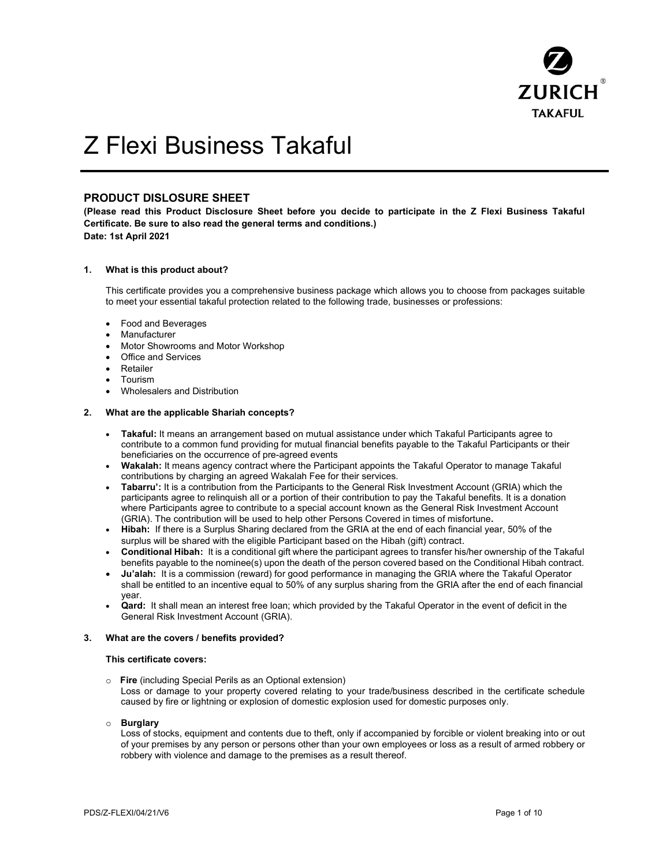

# Z Flexi Business Takaful

## PRODUCT DISLOSURE SHEET

(Please read this Product Disclosure Sheet before you decide to participate in the Z Flexi Business Takaful Certificate. Be sure to also read the general terms and conditions.) Date: 1st April 2021

## 1. What is this product about?

This certificate provides you a comprehensive business package which allows you to choose from packages suitable to meet your essential takaful protection related to the following trade, businesses or professions:

- Food and Beverages
- Manufacturer
- Motor Showrooms and Motor Workshop
- Office and Services
- Retailer
- Tourism
- Wholesalers and Distribution

## 2. What are the applicable Shariah concepts?

- Takaful: It means an arrangement based on mutual assistance under which Takaful Participants agree to contribute to a common fund providing for mutual financial benefits payable to the Takaful Participants or their beneficiaries on the occurrence of pre-agreed events
- Wakalah: It means agency contract where the Participant appoints the Takaful Operator to manage Takaful contributions by charging an agreed Wakalah Fee for their services.
- Tabarru': It is a contribution from the Participants to the General Risk Investment Account (GRIA) which the participants agree to relinquish all or a portion of their contribution to pay the Takaful benefits. It is a donation where Participants agree to contribute to a special account known as the General Risk Investment Account (GRIA). The contribution will be used to help other Persons Covered in times of misfortune.
- Hibah: If there is a Surplus Sharing declared from the GRIA at the end of each financial year, 50% of the surplus will be shared with the eligible Participant based on the Hibah (gift) contract.
- Conditional Hibah: It is a conditional gift where the participant agrees to transfer his/her ownership of the Takaful benefits payable to the nominee(s) upon the death of the person covered based on the Conditional Hibah contract.
- Ju'alah: It is a commission (reward) for good performance in managing the GRIA where the Takaful Operator shall be entitled to an incentive equal to 50% of any surplus sharing from the GRIA after the end of each financial year.
- Qard: It shall mean an interest free loan; which provided by the Takaful Operator in the event of deficit in the General Risk Investment Account (GRIA).

## 3. What are the covers / benefits provided?

## This certificate covers:

- o Fire (including Special Perils as an Optional extension) Loss or damage to your property covered relating to your trade/business described in the certificate schedule caused by fire or lightning or explosion of domestic explosion used for domestic purposes only.
- o Burglary

Loss of stocks, equipment and contents due to theft, only if accompanied by forcible or violent breaking into or out of your premises by any person or persons other than your own employees or loss as a result of armed robbery or robbery with violence and damage to the premises as a result thereof.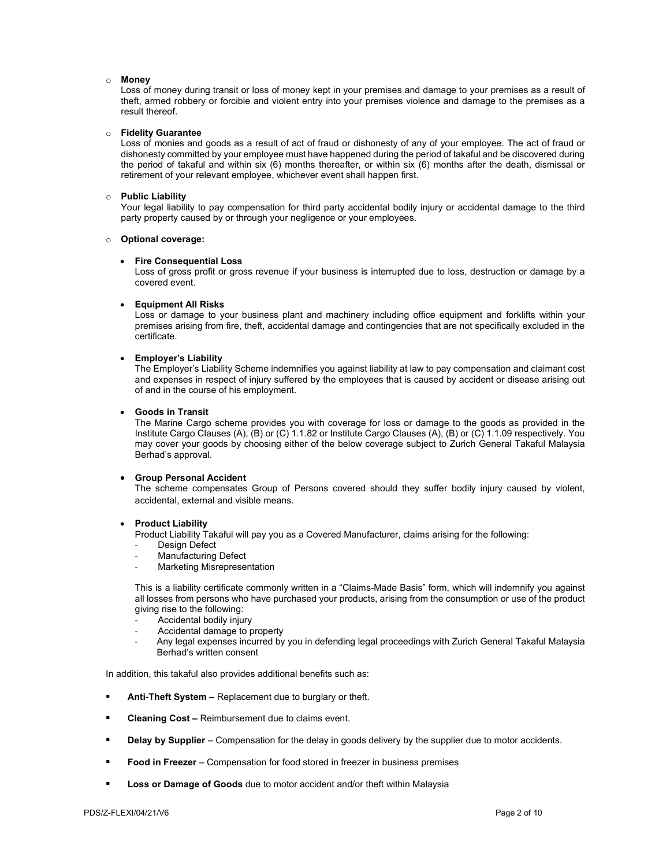#### o Money

Loss of money during transit or loss of money kept in your premises and damage to your premises as a result of theft, armed robbery or forcible and violent entry into your premises violence and damage to the premises as a result thereof.

## o Fidelity Guarantee

Loss of monies and goods as a result of act of fraud or dishonesty of any of your employee. The act of fraud or dishonesty committed by your employee must have happened during the period of takaful and be discovered during the period of takaful and within six (6) months thereafter, or within six (6) months after the death, dismissal or retirement of your relevant employee, whichever event shall happen first.

#### o Public Liability

Your legal liability to pay compensation for third party accidental bodily injury or accidental damage to the third party property caused by or through your negligence or your employees.

### o Optional coverage:

#### Fire Consequential Loss

Loss of gross profit or gross revenue if your business is interrupted due to loss, destruction or damage by a covered event.

#### Equipment All Risks

Loss or damage to your business plant and machinery including office equipment and forklifts within your premises arising from fire, theft, accidental damage and contingencies that are not specifically excluded in the certificate.

## Employer's Liability

The Employer's Liability Scheme indemnifies you against liability at law to pay compensation and claimant cost and expenses in respect of injury suffered by the employees that is caused by accident or disease arising out of and in the course of his employment.

#### Goods in Transit

The Marine Cargo scheme provides you with coverage for loss or damage to the goods as provided in the Institute Cargo Clauses (A), (B) or (C) 1.1.82 or Institute Cargo Clauses (A), (B) or (C) 1.1.09 respectively. You may cover your goods by choosing either of the below coverage subject to Zurich General Takaful Malaysia Berhad's approval.

## Group Personal Accident

The scheme compensates Group of Persons covered should they suffer bodily injury caused by violent, accidental, external and visible means.

## Product Liability

Product Liability Takaful will pay you as a Covered Manufacturer, claims arising for the following:

- Design Defect
- Manufacturing Defect
- Marketing Misrepresentation

This is a liability certificate commonly written in a "Claims-Made Basis" form, which will indemnify you against all losses from persons who have purchased your products, arising from the consumption or use of the product giving rise to the following:

- Accidental bodily injury
- Accidental damage to property
- Any legal expenses incurred by you in defending legal proceedings with Zurich General Takaful Malaysia Berhad's written consent

In addition, this takaful also provides additional benefits such as:

- Anti-Theft System Replacement due to burglary or theft.
- Cleaning Cost Reimbursement due to claims event.
- Delay by Supplier Compensation for the delay in goods delivery by the supplier due to motor accidents.
- Food in Freezer Compensation for food stored in freezer in business premises
- Loss or Damage of Goods due to motor accident and/or theft within Malaysia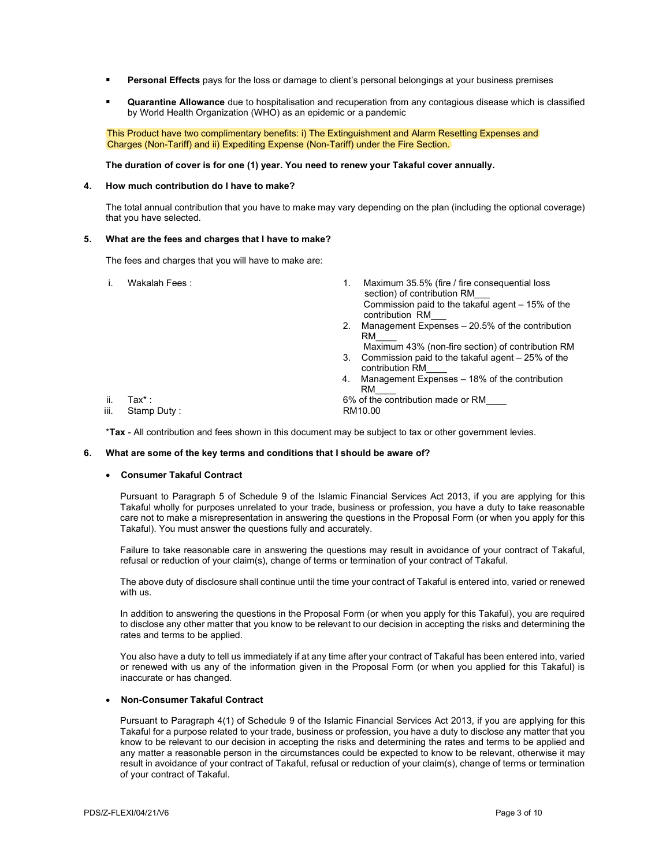- Personal Effects pays for the loss or damage to client's personal belongings at your business premises
- Quarantine Allowance due to hospitalisation and recuperation from any contagious disease which is classified by World Health Organization (WHO) as an epidemic or a pandemic

 This Product have two complimentary benefits: i) The Extinguishment and Alarm Resetting Expenses and Charges (Non-Tariff) and ii) Expediting Expense (Non-Tariff) under the Fire Section.

## The duration of cover is for one (1) year. You need to renew your Takaful cover annually.

## 4. How much contribution do I have to make?

The total annual contribution that you have to make may vary depending on the plan (including the optional coverage) that you have selected.

#### 5. What are the fees and charges that I have to make?

The fees and charges that you will have to make are:

- 
- i. Wakalah Fees : 1. Maximum 35.5% (fire / fire consequential loss section) of contribution RM Commission paid to the takaful agent – 15% of the contribution RM\_\_\_
	- 2. Management Expenses 20.5% of the contribution RM\_\_\_\_
	- Maximum 43% (non-fire section) of contribution RM 3. Commission paid to the takaful agent – 25% of the
	- contribution RM\_\_\_\_
	- 4. Management Expenses 18% of the contribution RM\_\_\_\_

ii. Tax\* : 6% of the contribution made or RM\_\_\_\_

iii. Stamp Duty:

\*Tax - All contribution and fees shown in this document may be subject to tax or other government levies.

#### 6. What are some of the key terms and conditions that I should be aware of?

## Consumer Takaful Contract

Pursuant to Paragraph 5 of Schedule 9 of the Islamic Financial Services Act 2013, if you are applying for this Takaful wholly for purposes unrelated to your trade, business or profession, you have a duty to take reasonable care not to make a misrepresentation in answering the questions in the Proposal Form (or when you apply for this Takaful). You must answer the questions fully and accurately.

Failure to take reasonable care in answering the questions may result in avoidance of your contract of Takaful, refusal or reduction of your claim(s), change of terms or termination of your contract of Takaful.

The above duty of disclosure shall continue until the time your contract of Takaful is entered into, varied or renewed with us.

In addition to answering the questions in the Proposal Form (or when you apply for this Takaful), you are required to disclose any other matter that you know to be relevant to our decision in accepting the risks and determining the rates and terms to be applied.

You also have a duty to tell us immediately if at any time after your contract of Takaful has been entered into, varied or renewed with us any of the information given in the Proposal Form (or when you applied for this Takaful) is inaccurate or has changed.

#### Non-Consumer Takaful Contract

Pursuant to Paragraph 4(1) of Schedule 9 of the Islamic Financial Services Act 2013, if you are applying for this Takaful for a purpose related to your trade, business or profession, you have a duty to disclose any matter that you know to be relevant to our decision in accepting the risks and determining the rates and terms to be applied and any matter a reasonable person in the circumstances could be expected to know to be relevant, otherwise it may result in avoidance of your contract of Takaful, refusal or reduction of your claim(s), change of terms or termination of your contract of Takaful.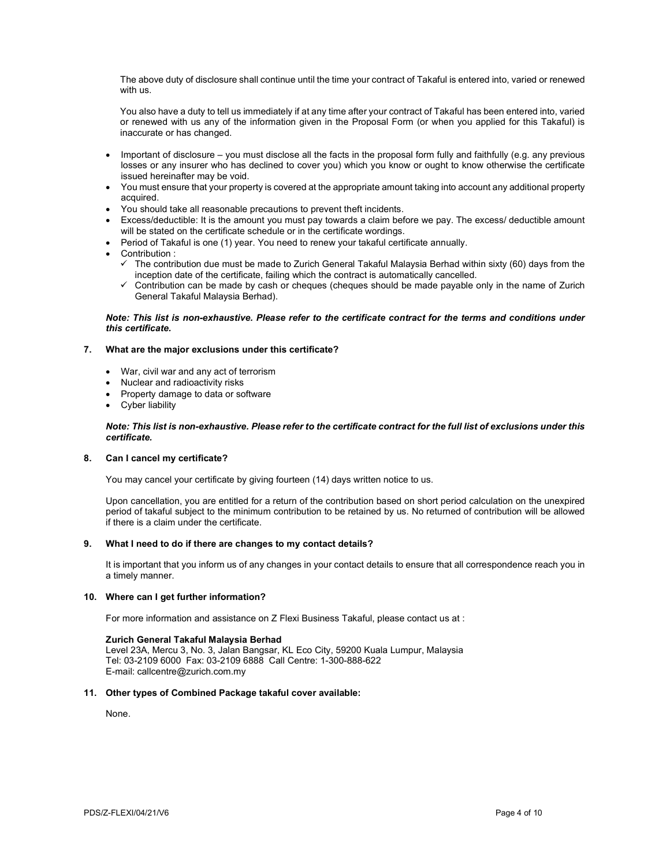The above duty of disclosure shall continue until the time your contract of Takaful is entered into, varied or renewed with us.

You also have a duty to tell us immediately if at any time after your contract of Takaful has been entered into, varied or renewed with us any of the information given in the Proposal Form (or when you applied for this Takaful) is inaccurate or has changed.

- Important of disclosure you must disclose all the facts in the proposal form fully and faithfully (e.g. any previous losses or any insurer who has declined to cover you) which you know or ought to know otherwise the certificate issued hereinafter may be void.
- You must ensure that your property is covered at the appropriate amount taking into account any additional property acquired.
- You should take all reasonable precautions to prevent theft incidents.
- Excess/deductible: It is the amount you must pay towards a claim before we pay. The excess/ deductible amount will be stated on the certificate schedule or in the certificate wordings.
- Period of Takaful is one (1) year. You need to renew your takaful certificate annually.
- Contribution :
	- The contribution due must be made to Zurich General Takaful Malaysia Berhad within sixty (60) days from the inception date of the certificate, failing which the contract is automatically cancelled.
	- $\checkmark$  Contribution can be made by cash or cheques (cheques should be made payable only in the name of Zurich General Takaful Malaysia Berhad).

## Note: This list is non-exhaustive. Please refer to the certificate contract for the terms and conditions under this certificate.

## 7. What are the major exclusions under this certificate?

- War, civil war and any act of terrorism
- Nuclear and radioactivity risks
- Property damage to data or software
- Cyber liability

## Note: This list is non-exhaustive. Please refer to the certificate contract for the full list of exclusions under this certificate.

## 8. Can I cancel my certificate?

You may cancel your certificate by giving fourteen (14) days written notice to us.

Upon cancellation, you are entitled for a return of the contribution based on short period calculation on the unexpired period of takaful subject to the minimum contribution to be retained by us. No returned of contribution will be allowed if there is a claim under the certificate.

## 9. What I need to do if there are changes to my contact details?

It is important that you inform us of any changes in your contact details to ensure that all correspondence reach you in a timely manner.

## 10. Where can I get further information?

For more information and assistance on Z Flexi Business Takaful, please contact us at :

## Zurich General Takaful Malaysia Berhad

Level 23A, Mercu 3, No. 3, Jalan Bangsar, KL Eco City, 59200 Kuala Lumpur, Malaysia Tel: 03-2109 6000 Fax: 03-2109 6888 Call Centre: 1-300-888-622 E-mail: callcentre@zurich.com.my

## 11. Other types of Combined Package takaful cover available:

None.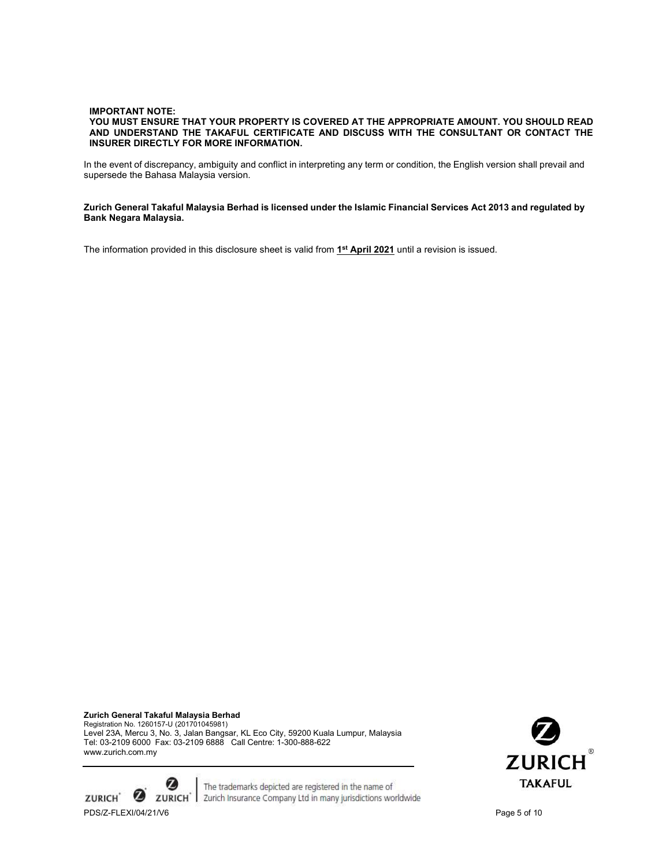## IMPORTANT NOTE: YOU MUST ENSURE THAT YOUR PROPERTY IS COVERED AT THE APPROPRIATE AMOUNT. YOU SHOULD READ AND UNDERSTAND THE TAKAFUL CERTIFICATE AND DISCUSS WITH THE CONSULTANT OR CONTACT THE INSURER DIRECTLY FOR MORE INFORMATION.

In the event of discrepancy, ambiguity and conflict in interpreting any term or condition, the English version shall prevail and supersede the Bahasa Malaysia version.

### Zurich General Takaful Malaysia Berhad is licensed under the Islamic Financial Services Act 2013 and regulated by Bank Negara Malaysia.

The information provided in this disclosure sheet is valid from 1<sup>st</sup> April 2021 until a revision is issued.

Zurich General Takaful Malaysia Berhad Registration No. 1260157-U (201701045981) Level 23A, Mercu 3, No. 3, Jalan Bangsar, KL Eco City, 59200 Kuala Lumpur, Malaysia Tel: 03-2109 6000 Fax: 03-2109 6888 Call Centre: 1-300-888-622 www.zurich.com.my

Ø **ZURICH** PDS/Z-FLEXI/04/21/V6 Page 5 of 10

The trademarks depicted are registered in the name of **ZURICH**<sup>\*</sup> | Zurich Insurance Company Ltd in many jurisdictions worldwide

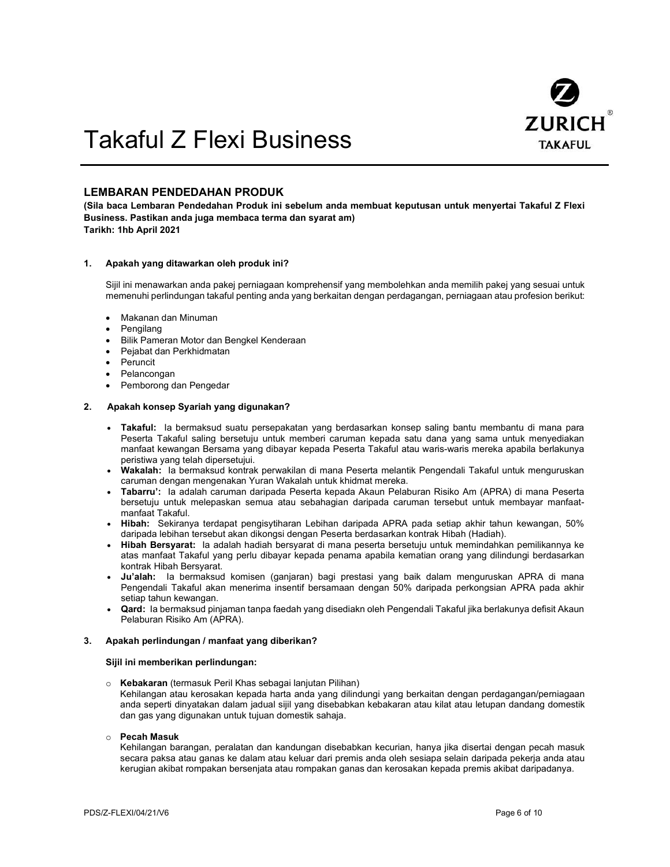

# Takaful Z Flexi Business

## LEMBARAN PENDEDAHAN PRODUK

(Sila baca Lembaran Pendedahan Produk ini sebelum anda membuat keputusan untuk menyertai Takaful Z Flexi Business. Pastikan anda juga membaca terma dan syarat am) Tarikh: 1hb April 2021

#### 1. Apakah yang ditawarkan oleh produk ini?

Sijil ini menawarkan anda pakej perniagaan komprehensif yang membolehkan anda memilih pakej yang sesuai untuk memenuhi perlindungan takaful penting anda yang berkaitan dengan perdagangan, perniagaan atau profesion berikut:

- Makanan dan Minuman
- Pengilang
- Bilik Pameran Motor dan Bengkel Kenderaan
- Pejabat dan Perkhidmatan
- Peruncit
- Pelancongan
- Pemborong dan Pengedar

#### 2. Apakah konsep Syariah yang digunakan?

- Takaful: Ia bermaksud suatu persepakatan yang berdasarkan konsep saling bantu membantu di mana para Peserta Takaful saling bersetuju untuk memberi caruman kepada satu dana yang sama untuk menyediakan manfaat kewangan Bersama yang dibayar kepada Peserta Takaful atau waris-waris mereka apabila berlakunya peristiwa yang telah dipersetujui.
- Wakalah: Ia bermaksud kontrak perwakilan di mana Peserta melantik Pengendali Takaful untuk menguruskan caruman dengan mengenakan Yuran Wakalah untuk khidmat mereka.
- Tabarru': Ia adalah caruman daripada Peserta kepada Akaun Pelaburan Risiko Am (APRA) di mana Peserta bersetuju untuk melepaskan semua atau sebahagian daripada caruman tersebut untuk membayar manfaatmanfaat Takaful.
- Hibah: Sekiranya terdapat pengisytiharan Lebihan daripada APRA pada setiap akhir tahun kewangan, 50% daripada lebihan tersebut akan dikongsi dengan Peserta berdasarkan kontrak Hibah (Hadiah).
- Hibah Bersyarat: Ia adalah hadiah bersyarat di mana peserta bersetuju untuk memindahkan pemilikannya ke atas manfaat Takaful yang perlu dibayar kepada penama apabila kematian orang yang dilindungi berdasarkan kontrak Hibah Bersyarat.
- Ju'alah: Ia bermaksud komisen (ganjaran) bagi prestasi yang baik dalam menguruskan APRA di mana Pengendali Takaful akan menerima insentif bersamaan dengan 50% daripada perkongsian APRA pada akhir setiap tahun kewangan.
- Qard: Ia bermaksud pinjaman tanpa faedah yang disediakn oleh Pengendali Takaful jika berlakunya defisit Akaun Pelaburan Risiko Am (APRA).

#### 3. Apakah perlindungan / manfaat yang diberikan?

#### Sijil ini memberikan perlindungan:

o Kebakaran (termasuk Peril Khas sebagai lanjutan Pilihan) Kehilangan atau kerosakan kepada harta anda yang dilindungi yang berkaitan dengan perdagangan/perniagaan anda seperti dinyatakan dalam jadual sijil yang disebabkan kebakaran atau kilat atau letupan dandang domestik dan gas yang digunakan untuk tujuan domestik sahaja.

#### o Pecah Masuk

Kehilangan barangan, peralatan dan kandungan disebabkan kecurian, hanya jika disertai dengan pecah masuk secara paksa atau ganas ke dalam atau keluar dari premis anda oleh sesiapa selain daripada pekerja anda atau kerugian akibat rompakan bersenjata atau rompakan ganas dan kerosakan kepada premis akibat daripadanya.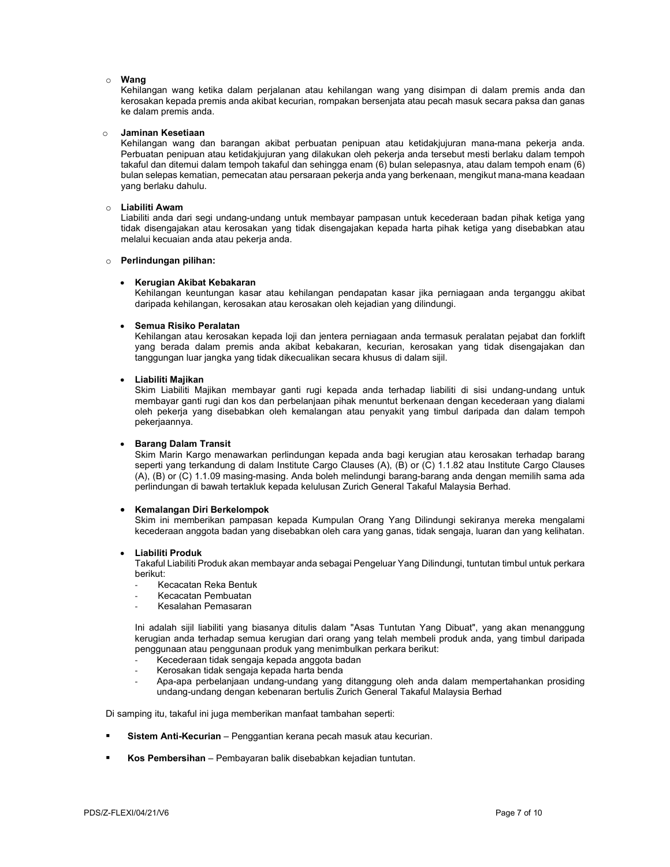#### o Wang

Kehilangan wang ketika dalam perjalanan atau kehilangan wang yang disimpan di dalam premis anda dan kerosakan kepada premis anda akibat kecurian, rompakan bersenjata atau pecah masuk secara paksa dan ganas ke dalam premis anda.

#### o Jaminan Kesetiaan

Kehilangan wang dan barangan akibat perbuatan penipuan atau ketidakjujuran mana-mana pekerja anda. Perbuatan penipuan atau ketidakjujuran yang dilakukan oleh pekerja anda tersebut mesti berlaku dalam tempoh takaful dan ditemui dalam tempoh takaful dan sehingga enam (6) bulan selepasnya, atau dalam tempoh enam (6) bulan selepas kematian, pemecatan atau persaraan pekerja anda yang berkenaan, mengikut mana-mana keadaan yang berlaku dahulu.

#### o Liabiliti Awam

Liabiliti anda dari segi undang-undang untuk membayar pampasan untuk kecederaan badan pihak ketiga yang tidak disengajakan atau kerosakan yang tidak disengajakan kepada harta pihak ketiga yang disebabkan atau melalui kecuaian anda atau pekerja anda.

### o Perlindungan pilihan:

## Kerugian Akibat Kebakaran

Kehilangan keuntungan kasar atau kehilangan pendapatan kasar jika perniagaan anda terganggu akibat daripada kehilangan, kerosakan atau kerosakan oleh kejadian yang dilindungi.

#### Semua Risiko Peralatan

Kehilangan atau kerosakan kepada loji dan jentera perniagaan anda termasuk peralatan pejabat dan forklift yang berada dalam premis anda akibat kebakaran, kecurian, kerosakan yang tidak disengajakan dan tanggungan luar jangka yang tidak dikecualikan secara khusus di dalam sijil.

## Liabiliti Majikan

Skim Liabiliti Majikan membayar ganti rugi kepada anda terhadap liabiliti di sisi undang-undang untuk membayar ganti rugi dan kos dan perbelanjaan pihak menuntut berkenaan dengan kecederaan yang dialami oleh pekerja yang disebabkan oleh kemalangan atau penyakit yang timbul daripada dan dalam tempoh pekerjaannya.

## Barang Dalam Transit

Skim Marin Kargo menawarkan perlindungan kepada anda bagi kerugian atau kerosakan terhadap barang seperti yang terkandung di dalam Institute Cargo Clauses (A), (B) or (C) 1.1.82 atau Institute Cargo Clauses (A), (B) or (C) 1.1.09 masing-masing. Anda boleh melindungi barang-barang anda dengan memilih sama ada perlindungan di bawah tertakluk kepada kelulusan Zurich General Takaful Malaysia Berhad.

## Kemalangan Diri Berkelompok

Skim ini memberikan pampasan kepada Kumpulan Orang Yang Dilindungi sekiranya mereka mengalami kecederaan anggota badan yang disebabkan oleh cara yang ganas, tidak sengaja, luaran dan yang kelihatan.

## Liabiliti Produk

Takaful Liabiliti Produk akan membayar anda sebagai Pengeluar Yang Dilindungi, tuntutan timbul untuk perkara berikut:

- Kecacatan Reka Bentuk
- Kecacatan Pembuatan
- Kesalahan Pemasaran

Ini adalah sijil liabiliti yang biasanya ditulis dalam "Asas Tuntutan Yang Dibuat", yang akan menanggung kerugian anda terhadap semua kerugian dari orang yang telah membeli produk anda, yang timbul daripada penggunaan atau penggunaan produk yang menimbulkan perkara berikut:

- Kecederaan tidak sengaja kepada anggota badan
- Kerosakan tidak sengaja kepada harta benda
- Apa-apa perbelanjaan undang-undang yang ditanggung oleh anda dalam mempertahankan prosiding undang-undang dengan kebenaran bertulis Zurich General Takaful Malaysia Berhad

Di samping itu, takaful ini juga memberikan manfaat tambahan seperti:

- Sistem Anti-Kecurian Penggantian kerana pecah masuk atau kecurian.
- Kos Pembersihan Pembayaran balik disebabkan kejadian tuntutan.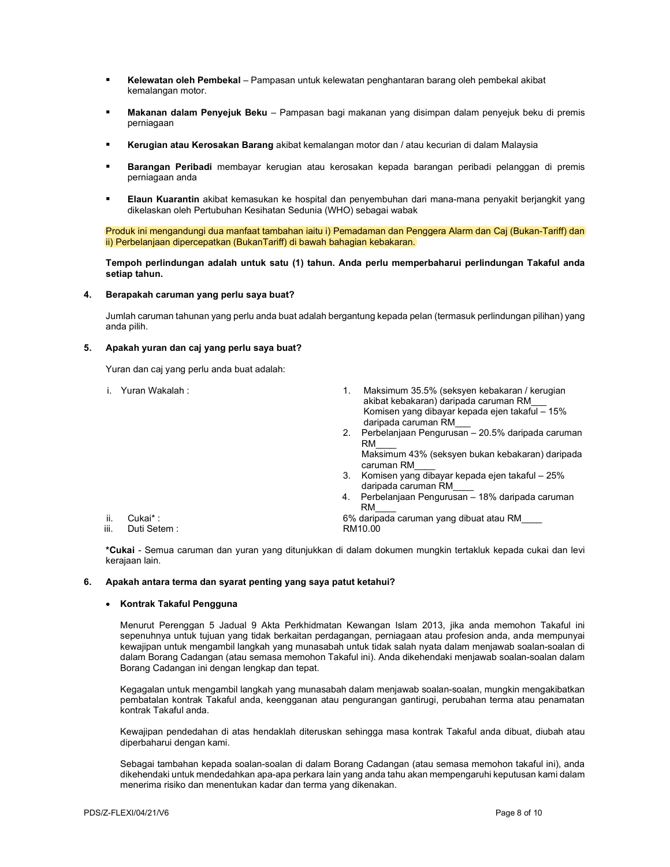- Kelewatan oleh Pembekal Pampasan untuk kelewatan penghantaran barang oleh pembekal akibat kemalangan motor.
- Makanan dalam Penyejuk Beku Pampasan bagi makanan yang disimpan dalam penyejuk beku di premis perniagaan
- Kerugian atau Kerosakan Barang akibat kemalangan motor dan / atau kecurian di dalam Malaysia
- Barangan Peribadi membayar kerugian atau kerosakan kepada barangan peribadi pelanggan di premis perniagaan anda
- Elaun Kuarantin akibat kemasukan ke hospital dan penyembuhan dari mana-mana penyakit berjangkit yang dikelaskan oleh Pertubuhan Kesihatan Sedunia (WHO) sebagai wabak

Produk ini mengandungi dua manfaat tambahan iaitu i) Pemadaman dan Penggera Alarm dan Caj (Bukan-Tariff) dan ii) Perbelanjaan dipercepatkan (BukanTariff) di bawah bahagian kebakaran.

## Tempoh perlindungan adalah untuk satu (1) tahun. Anda perlu memperbaharui perlindungan Takaful anda setiap tahun.

### 4. Berapakah caruman yang perlu saya buat?

Jumlah caruman tahunan yang perlu anda buat adalah bergantung kepada pelan (termasuk perlindungan pilihan) yang anda pilih.

#### 5. Apakah yuran dan caj yang perlu saya buat?

Yuran dan caj yang perlu anda buat adalah:

i. Yuran Wakalah : 1. Maksimum 35.5% (seksyen kebakaran / kerugian akibat kebakaran) daripada caruman RM\_\_\_ Komisen yang dibayar kepada ejen takaful – 15% daripada caruman RM\_\_\_ 2. Perbelanjaan Pengurusan – 20.5% daripada caruman RM\_\_\_\_ Maksimum 43% (seksyen bukan kebakaran) daripada caruman RM\_\_\_\_ 3. Komisen yang dibayar kepada ejen takaful – 25% daripada caruman RM\_\_\_\_ 4. Perbelanjaan Pengurusan – 18% daripada caruman  $RM$ ii. Cukai\* : 6% daripada caruman yang dibuat atau RM\_\_\_\_ iii. Duti Setem :

\*Cukai - Semua caruman dan yuran yang ditunjukkan di dalam dokumen mungkin tertakluk kepada cukai dan levi kerajaan lain.

#### 6. Apakah antara terma dan syarat penting yang saya patut ketahui?

## • Kontrak Takaful Pengguna

Menurut Perenggan 5 Jadual 9 Akta Perkhidmatan Kewangan Islam 2013, jika anda memohon Takaful ini sepenuhnya untuk tujuan yang tidak berkaitan perdagangan, perniagaan atau profesion anda, anda mempunyai kewajipan untuk mengambil langkah yang munasabah untuk tidak salah nyata dalam menjawab soalan-soalan di dalam Borang Cadangan (atau semasa memohon Takaful ini). Anda dikehendaki menjawab soalan-soalan dalam Borang Cadangan ini dengan lengkap dan tepat.

Kegagalan untuk mengambil langkah yang munasabah dalam menjawab soalan-soalan, mungkin mengakibatkan pembatalan kontrak Takaful anda, keengganan atau pengurangan gantirugi, perubahan terma atau penamatan kontrak Takaful anda.

Kewajipan pendedahan di atas hendaklah diteruskan sehingga masa kontrak Takaful anda dibuat, diubah atau diperbaharui dengan kami.

Sebagai tambahan kepada soalan-soalan di dalam Borang Cadangan (atau semasa memohon takaful ini), anda dikehendaki untuk mendedahkan apa-apa perkara lain yang anda tahu akan mempengaruhi keputusan kami dalam menerima risiko dan menentukan kadar dan terma yang dikenakan.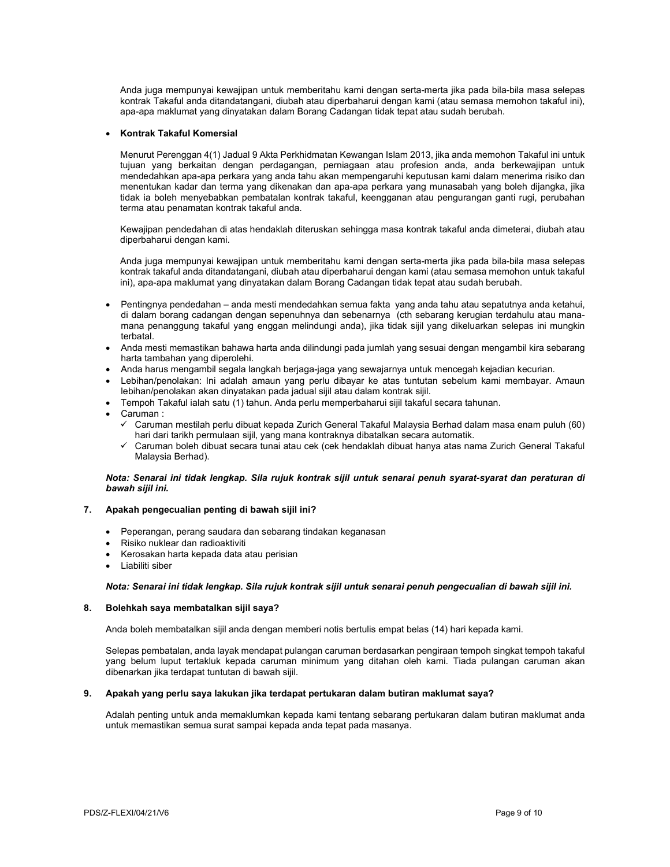Anda juga mempunyai kewajipan untuk memberitahu kami dengan serta-merta jika pada bila-bila masa selepas kontrak Takaful anda ditandatangani, diubah atau diperbaharui dengan kami (atau semasa memohon takaful ini), apa-apa maklumat yang dinyatakan dalam Borang Cadangan tidak tepat atau sudah berubah.

## Kontrak Takaful Komersial

Menurut Perenggan 4(1) Jadual 9 Akta Perkhidmatan Kewangan Islam 2013, jika anda memohon Takaful ini untuk tujuan yang berkaitan dengan perdagangan, perniagaan atau profesion anda, anda berkewajipan untuk mendedahkan apa-apa perkara yang anda tahu akan mempengaruhi keputusan kami dalam menerima risiko dan menentukan kadar dan terma yang dikenakan dan apa-apa perkara yang munasabah yang boleh dijangka, jika tidak ia boleh menyebabkan pembatalan kontrak takaful, keengganan atau pengurangan ganti rugi, perubahan terma atau penamatan kontrak takaful anda.

Kewajipan pendedahan di atas hendaklah diteruskan sehingga masa kontrak takaful anda dimeterai, diubah atau diperbaharui dengan kami.

Anda juga mempunyai kewajipan untuk memberitahu kami dengan serta-merta jika pada bila-bila masa selepas kontrak takaful anda ditandatangani, diubah atau diperbaharui dengan kami (atau semasa memohon untuk takaful ini), apa-apa maklumat yang dinyatakan dalam Borang Cadangan tidak tepat atau sudah berubah.

- Pentingnya pendedahan anda mesti mendedahkan semua fakta yang anda tahu atau sepatutnya anda ketahui, di dalam borang cadangan dengan sepenuhnya dan sebenarnya (cth sebarang kerugian terdahulu atau manamana penanggung takaful yang enggan melindungi anda), jika tidak sijil yang dikeluarkan selepas ini mungkin terbatal.
- Anda mesti memastikan bahawa harta anda dilindungi pada jumlah yang sesuai dengan mengambil kira sebarang harta tambahan yang diperolehi.
- Anda harus mengambil segala langkah berjaga-jaga yang sewajarnya untuk mencegah kejadian kecurian.
- Lebihan/penolakan: Ini adalah amaun yang perlu dibayar ke atas tuntutan sebelum kami membayar. Amaun lebihan/penolakan akan dinyatakan pada jadual sijil atau dalam kontrak sijil.
- Tempoh Takaful ialah satu (1) tahun. Anda perlu memperbaharui sijil takaful secara tahunan.
- Caruman :
	- Caruman mestilah perlu dibuat kepada Zurich General Takaful Malaysia Berhad dalam masa enam puluh (60) hari dari tarikh permulaan sijil, yang mana kontraknya dibatalkan secara automatik.
	- Caruman boleh dibuat secara tunai atau cek (cek hendaklah dibuat hanya atas nama Zurich General Takaful Malaysia Berhad).

## Nota: Senarai ini tidak lengkap. Sila rujuk kontrak sijil untuk senarai penuh syarat-syarat dan peraturan di bawah sijil ini.

## 7. Apakah pengecualian penting di bawah sijil ini?

- Peperangan, perang saudara dan sebarang tindakan keganasan
- Risiko nuklear dan radioaktiviti
- Kerosakan harta kepada data atau perisian
- Liabiliti siber

## Nota: Senarai ini tidak lengkap. Sila rujuk kontrak sijil untuk senarai penuh pengecualian di bawah sijil ini.

## 8. Bolehkah saya membatalkan sijil saya?

Anda boleh membatalkan sijil anda dengan memberi notis bertulis empat belas (14) hari kepada kami.

Selepas pembatalan, anda layak mendapat pulangan caruman berdasarkan pengiraan tempoh singkat tempoh takaful yang belum luput tertakluk kepada caruman minimum yang ditahan oleh kami. Tiada pulangan caruman akan dibenarkan jika terdapat tuntutan di bawah sijil.

## 9. Apakah yang perlu saya lakukan jika terdapat pertukaran dalam butiran maklumat saya?

Adalah penting untuk anda memaklumkan kepada kami tentang sebarang pertukaran dalam butiran maklumat anda untuk memastikan semua surat sampai kepada anda tepat pada masanya.